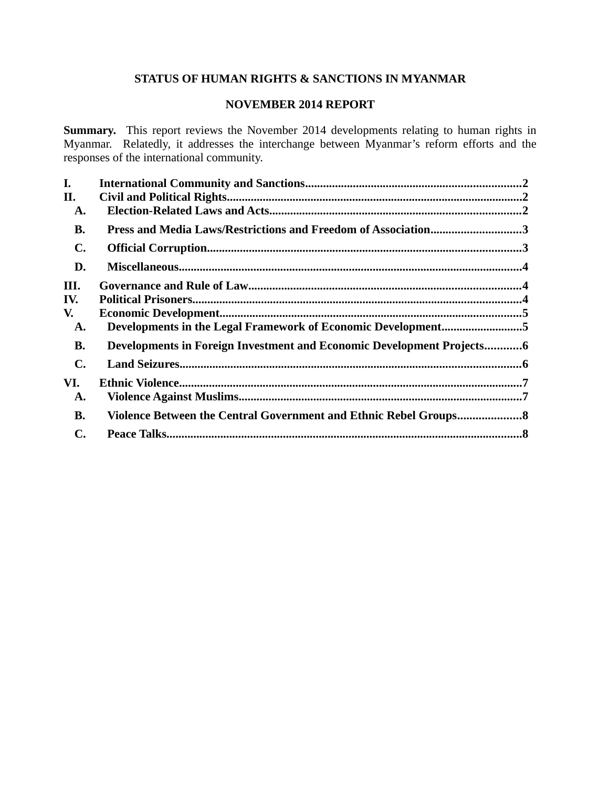## **STATUS OF HUMAN RIGHTS & SANCTIONS IN MYANMAR**

## **NOVEMBER 2014 REPORT**

**Summary.** This report reviews the November 2014 developments relating to human rights in Myanmar. Relatedly, it addresses the interchange between Myanmar's reform efforts and the responses of the international community.

| I.             |                                                                       |  |
|----------------|-----------------------------------------------------------------------|--|
| II.            |                                                                       |  |
| A.             |                                                                       |  |
| <b>B.</b>      | Press and Media Laws/Restrictions and Freedom of Association3         |  |
| $\mathbf{C}$ . |                                                                       |  |
| D.             |                                                                       |  |
| III.           |                                                                       |  |
| IV.            |                                                                       |  |
| V.             |                                                                       |  |
| A.             | Developments in the Legal Framework of Economic Development5          |  |
| <b>B.</b>      | Developments in Foreign Investment and Economic Development Projects6 |  |
| $\mathbf{C}$ . |                                                                       |  |
| VI.            |                                                                       |  |
| A.             |                                                                       |  |
| <b>B.</b>      |                                                                       |  |
| $\mathbf{C}$ . |                                                                       |  |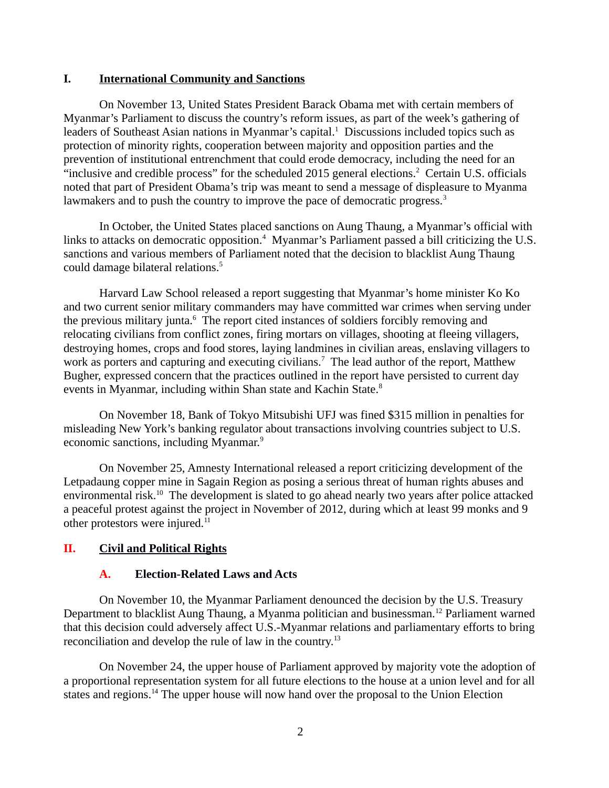#### **I. International Community and Sanctions**

On November 13, United States President Barack Obama met with certain members of Myanmar's Parliament to discuss the country's reform issues, as part of the week's gathering of leaders of Southeast Asian nations in Myanmar's capital. 1 Discussions included topics such as protection of minority rights, cooperation between majority and opposition parties and the prevention of institutional entrenchment that could erode democracy, including the need for an "inclusive and credible process" for the scheduled 2015 general elections. $2$  Certain U.S. officials noted that part of President Obama's trip was meant to send a message of displeasure to Myanma lawmakers and to push the country to improve the pace of democratic progress.<sup>3</sup>

In October, the United States placed sanctions on Aung Thaung, a Myanmar's official with links to attacks on democratic opposition.<sup>4</sup> Myanmar's Parliament passed a bill criticizing the U.S. sanctions and various members of Parliament noted that the decision to blacklist Aung Thaung could damage bilateral relations.<sup>5</sup>

Harvard Law School released a report suggesting that Myanmar's home minister Ko Ko and two current senior military commanders may have committed war crimes when serving under the previous military junta.<sup>6</sup> The report cited instances of soldiers forcibly removing and relocating civilians from conflict zones, firing mortars on villages, shooting at fleeing villagers, destroying homes, crops and food stores, laying landmines in civilian areas, enslaving villagers to work as porters and capturing and executing civilians.<sup>7</sup> The lead author of the report, Matthew Bugher, expressed concern that the practices outlined in the report have persisted to current day events in Myanmar, including within Shan state and Kachin State.<sup>8</sup>

On November 18, Bank of Tokyo Mitsubishi UFJ was fined \$315 million in penalties for misleading New York's banking regulator about transactions involving countries subject to U.S. economic sanctions, including Myanmar.<sup>9</sup>

On November 25, Amnesty International released a report criticizing development of the Letpadaung copper mine in Sagain Region as posing a serious threat of human rights abuses and environmental risk.<sup>10</sup> The development is slated to go ahead nearly two vears after police attacked a peaceful protest against the project in November of 2012, during which at least 99 monks and 9 other protestors were injured.<sup>11</sup>

## **II. Civil and Political Rights**

### **A. Election-Related Laws and Acts**

On November 10, the Myanmar Parliament denounced the decision by the U.S. Treasury Department to blacklist Aung Thaung, a Myanma politician and businessman.<sup>12</sup> Parliament warned that this decision could adversely affect U.S.-Myanmar relations and parliamentary efforts to bring reconciliation and develop the rule of law in the country. $^{13}$ 

On November 24, the upper house of Parliament approved by majority vote the adoption of a proportional representation system for all future elections to the house at a union level and for all states and regions.<sup>14</sup> The upper house will now hand over the proposal to the Union Election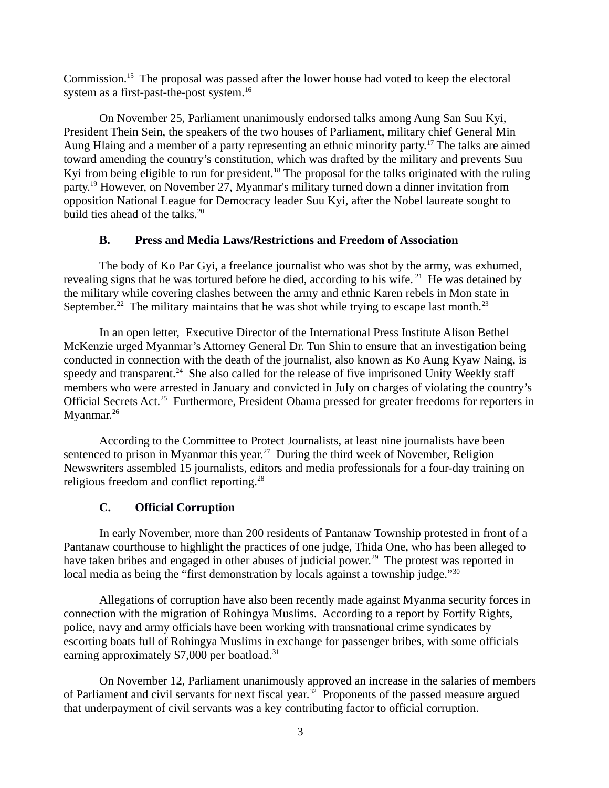Commission.<sup>15</sup> The proposal was passed after the lower house had voted to keep the electoral system as a first-past-the-post system.<sup>16</sup>

On November 25, Parliament unanimously endorsed talks among Aung San Suu Kyi, President Thein Sein, the speakers of the two houses of Parliament, military chief General Min Aung Hlaing and a member of a party representing an ethnic minority party.<sup>17</sup> The talks are aimed toward amending the country's constitution, which was drafted by the military and prevents Suu Kyi from being eligible to run for president.<sup>18</sup> The proposal for the talks originated with the ruling party.<sup>19</sup> However, on November 27, Myanmar's military turned down a dinner invitation from opposition National League for Democracy leader Suu Kyi, after the Nobel laureate sought to build ties ahead of the talks.<sup>20</sup>

## **B. Press and Media Laws/Restrictions and Freedom of Association**

The body of Ko Par Gyi, a freelance journalist who was shot by the army, was exhumed, revealing signs that he was tortured before he died, according to his wife.  $^{21}$  He was detained by the military while covering clashes between the army and ethnic Karen rebels in Mon state in September.<sup>22</sup> The military maintains that he was shot while trying to escape last month.<sup>23</sup>

In an open letter, Executive Director of the International Press Institute Alison Bethel McKenzie urged Myanmar's Attorney General Dr. Tun Shin to ensure that an investigation being conducted in connection with the death of the journalist, also known as Ko Aung Kyaw Naing, is speedy and transparent.<sup>24</sup> She also called for the release of five imprisoned Unity Weekly staff members who were arrested in January and convicted in July on charges of violating the country's Official Secrets Act.<sup>25</sup> Furthermore, President Obama pressed for greater freedoms for reporters in Myanmar.<sup>26</sup>

According to the Committee to Protect Journalists, at least nine journalists have been sentenced to prison in Myanmar this year.<sup>27</sup> During the third week of November, Religion Newswriters assembled 15 journalists, editors and media professionals for a four-day training on religious freedom and conflict reporting.<sup>28</sup>

## **C. Official Corruption**

In early November, more than 200 residents of Pantanaw Township protested in front of a Pantanaw courthouse to highlight the practices of one judge, Thida One, who has been alleged to have taken bribes and engaged in other abuses of judicial power.<sup>29</sup> The protest was reported in local media as being the "first demonstration by locals against a township judge."<sup>30</sup>

Allegations of corruption have also been recently made against Myanma security forces in connection with the migration of Rohingya Muslims. According to a report by Fortify Rights, police, navy and army officials have been working with transnational crime syndicates by escorting boats full of Rohingya Muslims in exchange for passenger bribes, with some officials earning approximately \$7,000 per boatload.<sup>31</sup>

On November 12, Parliament unanimously approved an increase in the salaries of members of Parliament and civil servants for next fiscal year. $32$  Proponents of the passed measure argued that underpayment of civil servants was a key contributing factor to official corruption.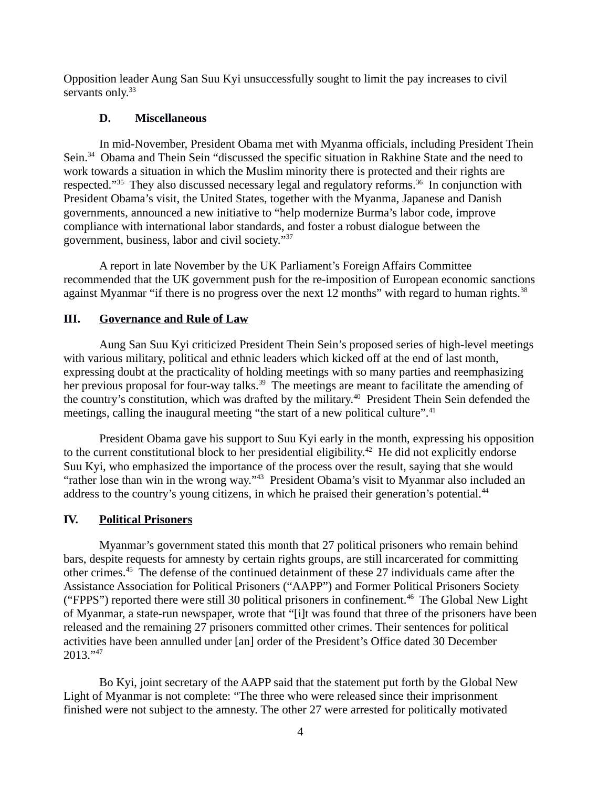Opposition leader Aung San Suu Kyi unsuccessfully sought to limit the pay increases to civil servants only.<sup>33</sup>

### **D. Miscellaneous**

In mid-November, President Obama met with Myanma officials, including President Thein Sein.<sup>34</sup> Obama and Thein Sein "discussed the specific situation in Rakhine State and the need to work towards a situation in which the Muslim minority there is protected and their rights are respected." $35$  They also discussed necessary legal and regulatory reforms. $36$  In conjunction with President Obama's visit, the United States, together with the Myanma, Japanese and Danish governments, announced a new initiative to "help modernize Burma's labor code, improve compliance with international labor standards, and foster a robust dialogue between the government, business, labor and civil society."<sup>37</sup>

A report in late November by the UK Parliament's Foreign Affairs Committee recommended that the UK government push for the re-imposition of European economic sanctions against Myanmar "if there is no progress over the next 12 months" with regard to human rights.<sup>38</sup>

### **III. Governance and Rule of Law**

Aung San Suu Kyi criticized President Thein Sein's proposed series of high-level meetings with various military, political and ethnic leaders which kicked off at the end of last month, expressing doubt at the practicality of holding meetings with so many parties and reemphasizing her previous proposal for four-way talks.<sup>39</sup> The meetings are meant to facilitate the amending of the country's constitution, which was drafted by the military.<sup>40</sup> President Thein Sein defended the meetings, calling the inaugural meeting "the start of a new political culture".<sup>41</sup>

President Obama gave his support to Suu Kyi early in the month, expressing his opposition to the current constitutional block to her presidential eligibility.<sup>42</sup> He did not explicitly endorse Suu Kyi, who emphasized the importance of the process over the result, saying that she would "rather lose than win in the wrong way."<sup>43</sup> President Obama's visit to Myanmar also included an address to the country's young citizens, in which he praised their generation's potential.<sup>44</sup>

## **IV. Political Prisoners**

Myanmar's government stated this month that 27 political prisoners who remain behind bars, despite requests for amnesty by certain rights groups, are still incarcerated for committing other crimes.<sup>45</sup> The defense of the continued detainment of these 27 individuals came after the Assistance Association for Political Prisoners ("AAPP") and Former Political Prisoners Society ("FPPS") reported there were still 30 political prisoners in confinement.<sup>46</sup> The Global New Light of Myanmar, a state-run newspaper, wrote that "[i]t was found that three of the prisoners have been released and the remaining 27 prisoners committed other crimes. Their sentences for political activities have been annulled under [an] order of the President's Office dated 30 December 2013."<sup>47</sup>

Bo Kyi, joint secretary of the AAPP said that the statement put forth by the Global New Light of Myanmar is not complete: "The three who were released since their imprisonment finished were not subject to the amnesty. The other 27 were arrested for politically motivated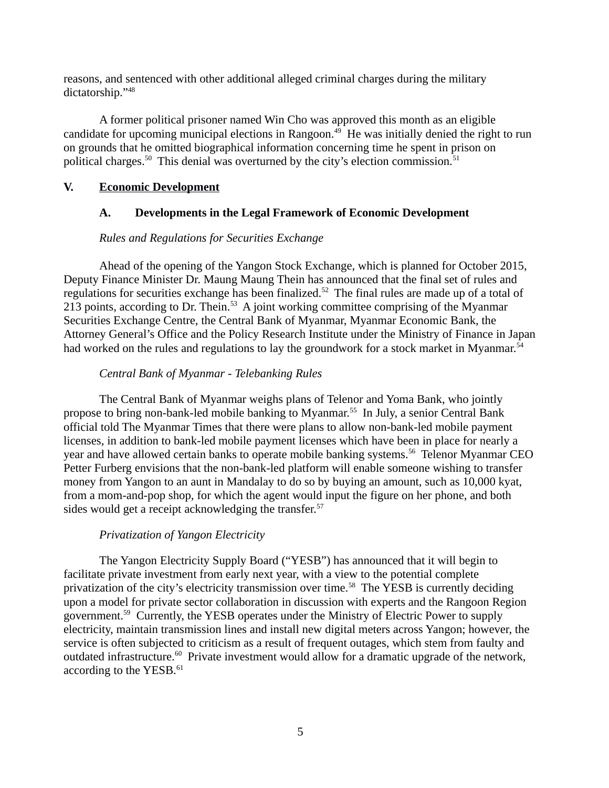reasons, and sentenced with other additional alleged criminal charges during the military dictatorship."<sup>48</sup>

A former political prisoner named Win Cho was approved this month as an eligible candidate for upcoming municipal elections in Rangoon.<sup>49</sup> He was initially denied the right to run on grounds that he omitted biographical information concerning time he spent in prison on political charges.<sup>50</sup> This denial was overturned by the city's election commission.<sup>51</sup>

## **V. Economic Development**

### **A. Developments in the Legal Framework of Economic Development**

### *Rules and Regulations for Securities Exchange*

Ahead of the opening of the Yangon Stock Exchange, which is planned for October 2015, Deputy Finance Minister Dr. Maung Maung Thein has announced that the final set of rules and regulations for securities exchange has been finalized.<sup>52</sup> The final rules are made up of a total of 213 points, according to Dr. Thein.<sup>53</sup> A joint working committee comprising of the Myanmar Securities Exchange Centre, the Central Bank of Myanmar, Myanmar Economic Bank, the Attorney General's Office and the Policy Research Institute under the Ministry of Finance in Japan had worked on the rules and regulations to lay the groundwork for a stock market in Myanmar.<sup>54</sup>

## *Central Bank of Myanmar - Telebanking Rules*

The Central Bank of Myanmar weighs plans of Telenor and Yoma Bank, who jointly propose to bring non-bank-led mobile banking to Myanmar.<sup>55</sup> In July, a senior Central Bank official told The Myanmar Times that there were plans to allow non-bank-led mobile payment licenses, in addition to bank-led mobile payment licenses which have been in place for nearly a year and have allowed certain banks to operate mobile banking systems.<sup>56</sup> Telenor Myanmar CEO Petter Furberg envisions that the non-bank-led platform will enable someone wishing to transfer money from Yangon to an aunt in Mandalay to do so by buying an amount, such as 10,000 kyat, from a mom-and-pop shop, for which the agent would input the figure on her phone, and both sides would get a receipt acknowledging the transfer.<sup>57</sup>

## *Privatization of Yangon Electricity*

The Yangon Electricity Supply Board ("YESB") has announced that it will begin to facilitate private investment from early next year, with a view to the potential complete privatization of the city's electricity transmission over time.<sup>58</sup> The YESB is currently deciding upon a model for private sector collaboration in discussion with experts and the Rangoon Region government.<sup>59</sup> Currently, the YESB operates under the Ministry of Electric Power to supply electricity, maintain transmission lines and install new digital meters across Yangon; however, the service is often subjected to criticism as a result of frequent outages, which stem from faulty and outdated infrastructure.<sup>60</sup> Private investment would allow for a dramatic upgrade of the network, according to the YESB.<sup>61</sup>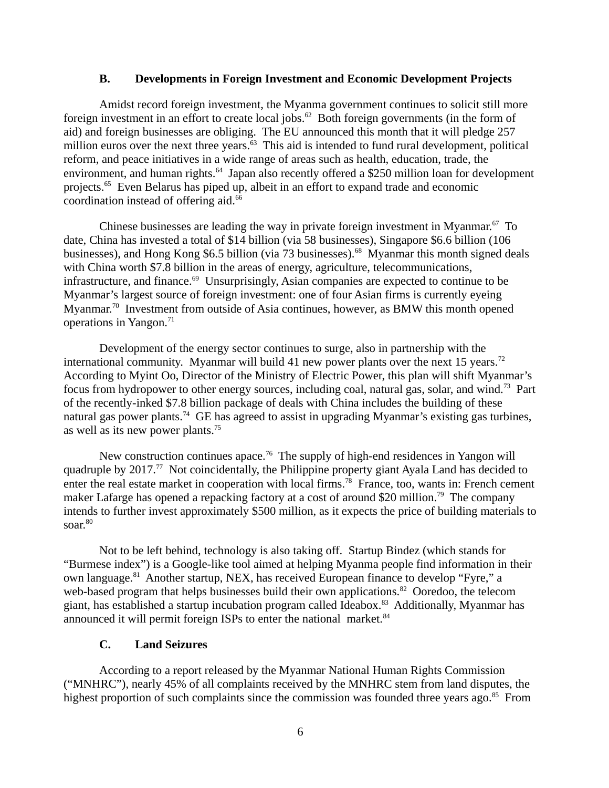#### **B. Developments in Foreign Investment and Economic Development Projects**

Amidst record foreign investment, the Myanma government continues to solicit still more foreign investment in an effort to create local jobs.<sup>62</sup> Both foreign governments (in the form of aid) and foreign businesses are obliging. The EU announced this month that it will pledge 257 million euros over the next three years.<sup>63</sup> This aid is intended to fund rural development, political reform, and peace initiatives in a wide range of areas such as health, education, trade, the environment, and human rights.<sup>64</sup> Japan also recently offered a \$250 million loan for development projects.<sup>65</sup> Even Belarus has piped up, albeit in an effort to expand trade and economic coordination instead of offering aid.<sup>66</sup>

Chinese businesses are leading the way in private foreign investment in Myanmar.<sup>67</sup> To date, China has invested a total of \$14 billion (via 58 businesses), Singapore \$6.6 billion (106 businesses), and Hong Kong \$6.5 billion (via 73 businesses).<sup>68</sup> Myanmar this month signed deals with China worth \$7.8 billion in the areas of energy, agriculture, telecommunications, infrastructure, and finance. $69$  Unsurprisingly, Asian companies are expected to continue to be Myanmar's largest source of foreign investment: one of four Asian firms is currently eyeing Myanmar.<sup>70</sup> Investment from outside of Asia continues, however, as BMW this month opened operations in Yangon. $71$ 

Development of the energy sector continues to surge, also in partnership with the international community. Myanmar will build 41 new power plants over the next 15 years.<sup>72</sup> According to Myint Oo, Director of the Ministry of Electric Power, this plan will shift Myanmar's focus from hydropower to other energy sources, including coal, natural gas, solar, and wind.<sup>73</sup> Part of the recently-inked \$7.8 billion package of deals with China includes the building of these natural gas power plants.<sup>74</sup> GE has agreed to assist in upgrading Myanmar's existing gas turbines, as well as its new power plants. $75$ 

New construction continues apace.<sup>76</sup> The supply of high-end residences in Yangon will quadruple by 2017.<sup>77</sup> Not coincidentally, the Philippine property giant Ayala Land has decided to enter the real estate market in cooperation with local firms.<sup>78</sup> France, too, wants in: French cement maker Lafarge has opened a repacking factory at a cost of around \$20 million.<sup>79</sup> The company intends to further invest approximately \$500 million, as it expects the price of building materials to soar.<sup>80</sup>

Not to be left behind, technology is also taking off. Startup Bindez (which stands for "Burmese index") is a Google-like tool aimed at helping Myanma people find information in their own language.<sup>81</sup> Another startup, NEX, has received European finance to develop "Fyre," a web-based program that helps businesses build their own applications.<sup>82</sup> Ooredoo, the telecom giant, has established a startup incubation program called Ideabox.<sup>83</sup> Additionally, Myanmar has announced it will permit foreign ISPs to enter the national market. $84$ 

#### **C. Land Seizures**

According to a report released by the Myanmar National Human Rights Commission ("MNHRC"), nearly 45% of all complaints received by the MNHRC stem from land disputes, the highest proportion of such complaints since the commission was founded three years ago.<sup>85</sup> From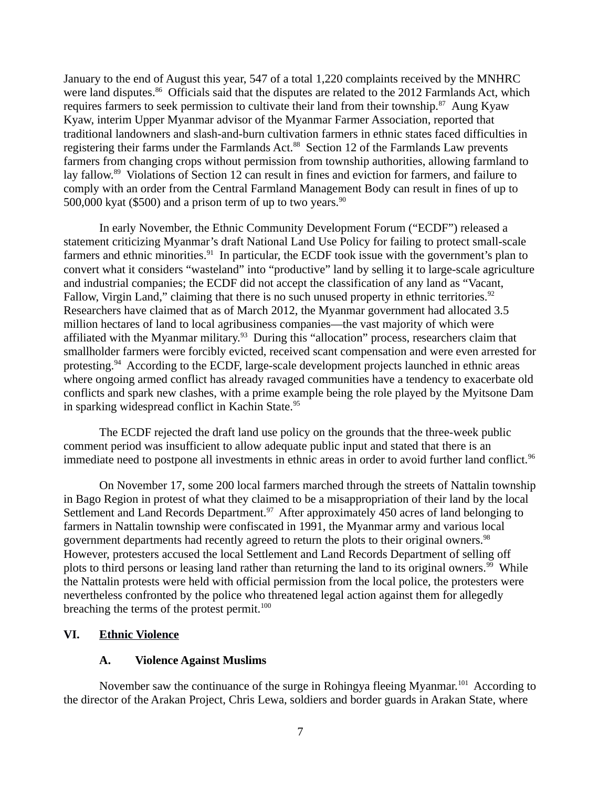January to the end of August this year, 547 of a total 1,220 complaints received by the MNHRC were land disputes.<sup>86</sup> Officials said that the disputes are related to the 2012 Farmlands Act, which requires farmers to seek permission to cultivate their land from their township.<sup>87</sup> Aung Kyaw Kyaw, interim Upper Myanmar advisor of the Myanmar Farmer Association, reported that traditional landowners and slash-and-burn cultivation farmers in ethnic states faced difficulties in registering their farms under the Farmlands Act.<sup>88</sup> Section 12 of the Farmlands Law prevents farmers from changing crops without permission from township authorities, allowing farmland to lay fallow.<sup>89</sup> Violations of Section 12 can result in fines and eviction for farmers, and failure to comply with an order from the Central Farmland Management Body can result in fines of up to 500,000 kyat (\$500) and a prison term of up to two years. $90$ 

In early November, the Ethnic Community Development Forum ("ECDF") released a statement criticizing Myanmar's draft National Land Use Policy for failing to protect small-scale farmers and ethnic minorities. $91$  In particular, the ECDF took issue with the government's plan to convert what it considers "wasteland" into "productive" land by selling it to large-scale agriculture and industrial companies; the ECDF did not accept the classification of any land as "Vacant, Fallow, Virgin Land," claiming that there is no such unused property in ethnic territories. $92$ Researchers have claimed that as of March 2012, the Myanmar government had allocated 3.5 million hectares of land to local agribusiness companies—the vast majority of which were affiliated with the Myanmar military.<sup>93</sup> During this "allocation" process, researchers claim that smallholder farmers were forcibly evicted, received scant compensation and were even arrested for protesting.<sup>94</sup> According to the ECDF, large-scale development projects launched in ethnic areas where ongoing armed conflict has already ravaged communities have a tendency to exacerbate old conflicts and spark new clashes, with a prime example being the role played by the Myitsone Dam in sparking widespread conflict in Kachin State.<sup>95</sup>

The ECDF rejected the draft land use policy on the grounds that the three-week public comment period was insufficient to allow adequate public input and stated that there is an immediate need to postpone all investments in ethnic areas in order to avoid further land conflict.<sup>96</sup>

On November 17, some 200 local farmers marched through the streets of Nattalin township in Bago Region in protest of what they claimed to be a misappropriation of their land by the local Settlement and Land Records Department.<sup>97</sup> After approximately 450 acres of land belonging to farmers in Nattalin township were confiscated in 1991, the Myanmar army and various local government departments had recently agreed to return the plots to their original owners.<sup>98</sup> However, protesters accused the local Settlement and Land Records Department of selling off plots to third persons or leasing land rather than returning the land to its original owners.<sup>99</sup> While the Nattalin protests were held with official permission from the local police, the protesters were nevertheless confronted by the police who threatened legal action against them for allegedly breaching the terms of the protest permit. $100$ 

### **VI. Ethnic Violence**

### **A. Violence Against Muslims**

November saw the continuance of the surge in Rohingya fleeing Myanmar.<sup>101</sup> According to the director of the Arakan Project, Chris Lewa, soldiers and border guards in Arakan State, where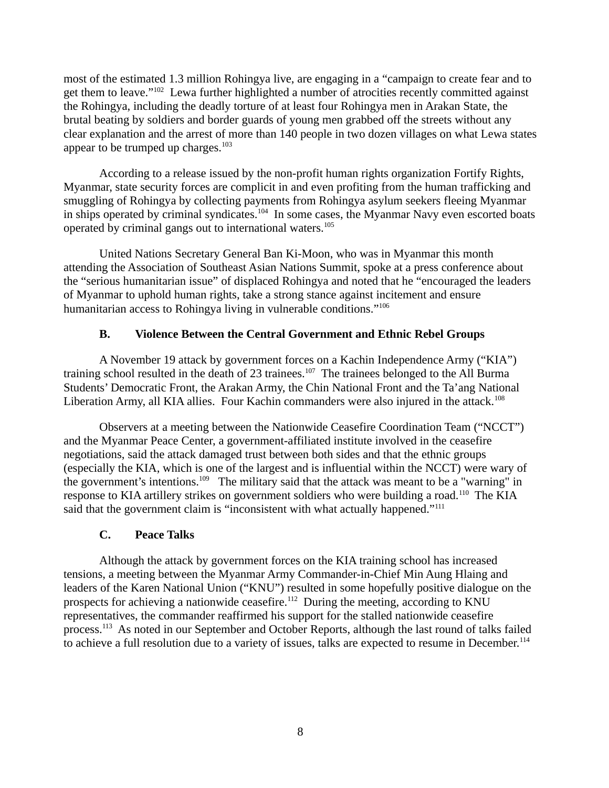most of the estimated 1.3 million Rohingya live, are engaging in a "campaign to create fear and to get them to leave."<sup>102</sup> Lewa further highlighted a number of atrocities recently committed against the Rohingya, including the deadly torture of at least four Rohingya men in Arakan State, the brutal beating by soldiers and border guards of young men grabbed off the streets without any clear explanation and the arrest of more than 140 people in two dozen villages on what Lewa states appear to be trumped up charges. $103$ 

According to a release issued by the non-profit human rights organization Fortify Rights, Myanmar, state security forces are complicit in and even profiting from the human trafficking and smuggling of Rohingya by collecting payments from Rohingya asylum seekers fleeing Myanmar in ships operated by criminal syndicates.<sup>104</sup> In some cases, the Myanmar Navy even escorted boats operated by criminal gangs out to international waters.<sup>105</sup>

United Nations Secretary General Ban Ki-Moon, who was in Myanmar this month attending the Association of Southeast Asian Nations Summit, spoke at a press conference about the "serious humanitarian issue" of displaced Rohingya and noted that he "encouraged the leaders of Myanmar to uphold human rights, take a strong stance against incitement and ensure humanitarian access to Rohingya living in vulnerable conditions."<sup>106</sup>

# **B. Violence Between the Central Government and Ethnic Rebel Groups**

A November 19 attack by government forces on a Kachin Independence Army ("KIA") training school resulted in the death of 23 trainees.<sup>107</sup> The trainees belonged to the All Burma Students' Democratic Front, the Arakan Army, the Chin National Front and the Ta'ang National Liberation Army, all KIA allies. Four Kachin commanders were also injured in the attack.<sup>108</sup>

Observers at a meeting between the Nationwide Ceasefire Coordination Team ("NCCT") and the Myanmar Peace Center, a government-affiliated institute involved in the ceasefire negotiations, said the attack damaged trust between both sides and that the ethnic groups (especially the KIA, which is one of the largest and is influential within the NCCT) were wary of the government's intentions.<sup>109</sup> The military said that the attack was meant to be a "warning" in response to KIA artillery strikes on government soldiers who were building a road.<sup>110</sup> The KIA said that the government claim is "inconsistent with what actually happened."<sup>111</sup>

## **C. Peace Talks**

Although the attack by government forces on the KIA training school has increased tensions, a meeting between the Myanmar Army Commander-in-Chief Min Aung Hlaing and leaders of the Karen National Union ("KNU") resulted in some hopefully positive dialogue on the prospects for achieving a nationwide ceasefire.<sup>112</sup> During the meeting, according to KNU representatives, the commander reaffirmed his support for the stalled nationwide ceasefire process.<sup>113</sup> As noted in our September and October Reports, although the last round of talks failed to achieve a full resolution due to a variety of issues, talks are expected to resume in December.<sup>114</sup>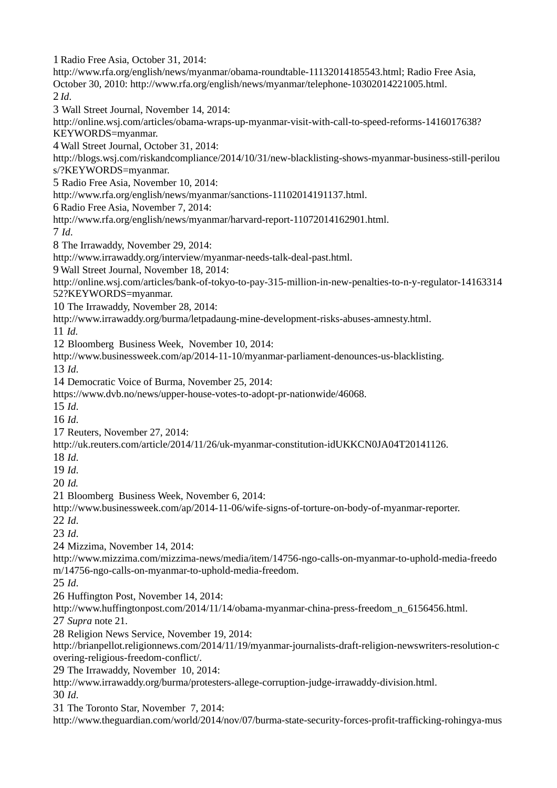1 Radio Free Asia, October 31, 2014: http://www.rfa.org/english/news/myanmar/obama-roundtable-11132014185543.html; Radio Free Asia, October 30, 2010: http://www.rfa.org/english/news/myanmar/telephone-10302014221005.html. 2 *Id*. 3 Wall Street Journal, November 14, 2014: http://online.wsj.com/articles/obama-wraps-up-myanmar-visit-with-call-to-speed-reforms-1416017638? KEYWORDS=myanmar. 4 Wall Street Journal, October 31, 2014: http://blogs.wsj.com/riskandcompliance/2014/10/31/new-blacklisting-shows-myanmar-business-still-perilou s/?KEYWORDS=myanmar. 5 Radio Free Asia, November 10, 2014: http://www.rfa.org/english/news/myanmar/sanctions-11102014191137.html. 6 Radio Free Asia, November 7, 2014: http://www.rfa.org/english/news/myanmar/harvard-report-11072014162901.html. 7 *Id*. 8 The Irrawaddy, November 29, 2014: http://www.irrawaddy.org/interview/myanmar-needs-talk-deal-past.html. 9 Wall Street Journal, November 18, 2014: http://online.wsj.com/articles/bank-of-tokyo-to-pay-315-million-in-new-penalties-to-n-y-regulator-14163314 52?KEYWORDS=myanmar. 10 The Irrawaddy, November 28, 2014: http://www.irrawaddy.org/burma/letpadaung-mine-development-risks-abuses-amnesty.html. 11 *Id.* 12 Bloomberg Business Week, November 10, 2014: http://www.businessweek.com/ap/2014-11-10/myanmar-parliament-denounces-us-blacklisting. 13 *Id*. 14 Democratic Voice of Burma, November 25, 2014: https://www.dvb.no/news/upper-house-votes-to-adopt-pr-nationwide/46068. 15 *Id*. 16 *Id*. 17 Reuters, November 27, 2014: http://uk.reuters.com/article/2014/11/26/uk-myanmar-constitution-idUKKCN0JA04T20141126. 18 *Id*. 19 *Id*. 20 *Id.* 21 Bloomberg Business Week, November 6, 2014: http://www.businessweek.com/ap/2014-11-06/wife-signs-of-torture-on-body-of-myanmar-reporter. 22 *Id*. 23 *Id*. 24 Mizzima, November 14, 2014: http://www.mizzima.com/mizzima-news/media/item/14756-ngo-calls-on-myanmar-to-uphold-media-freedo m/14756-ngo-calls-on-myanmar-to-uphold-media-freedom. 25 *Id*. 26 Huffington Post, November 14, 2014: http://www.huffingtonpost.com/2014/11/14/obama-myanmar-china-press-freedom\_n\_6156456.html. 27 *Supra* note 21. 28 Religion News Service, November 19, 2014: http://brianpellot.religionnews.com/2014/11/19/myanmar-journalists-draft-religion-newswriters-resolution-c overing-religious-freedom-conflict/. 29 The Irrawaddy, November 10, 2014: http://www.irrawaddy.org/burma/protesters-allege-corruption-judge-irrawaddy-division.html. 30 *Id*. 31 The Toronto Star, November 7, 2014: http://www.theguardian.com/world/2014/nov/07/burma-state-security-forces-profit-trafficking-rohingya-mus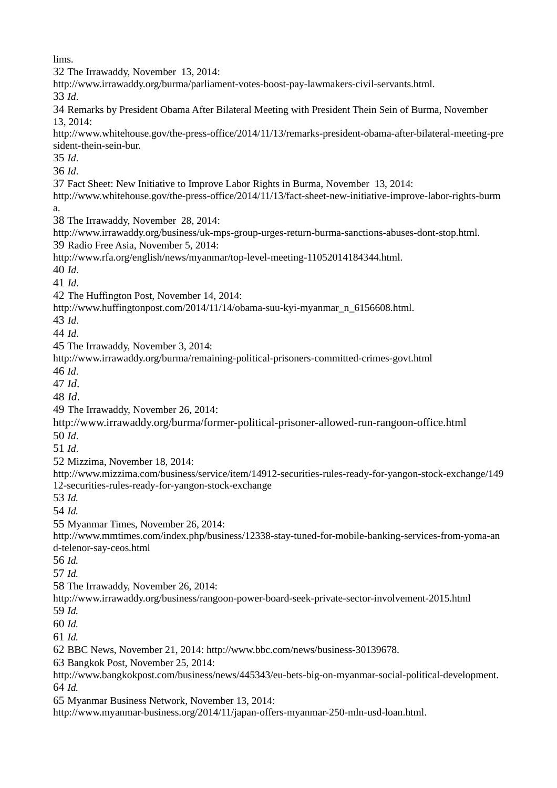lims.

The Irrawaddy, November 13, 2014:

http://www.irrawaddy.org/burma/parliament-votes-boost-pay-lawmakers-civil-servants.html.

*Id*.

 Remarks by President Obama After Bilateral Meeting with President Thein Sein of Burma, November 13, 2014:

http://www.whitehouse.gov/the-press-office/2014/11/13/remarks-president-obama-after-bilateral-meeting-pre sident-thein-sein-bur.

*Id*.

*Id*.

Fact Sheet: New Initiative to Improve Labor Rights in Burma, November 13, 2014:

http://www.whitehouse.gov/the-press-office/2014/11/13/fact-sheet-new-initiative-improve-labor-rights-burm a.

The Irrawaddy, November 28, 2014:

http://www.irrawaddy.org/business/uk-mps-group-urges-return-burma-sanctions-abuses-dont-stop.html. Radio Free Asia, November 5, 2014:

http://www.rfa.org/english/news/myanmar/top-level-meeting-11052014184344.html.

*Id*.

*Id*.

The Huffington Post, November 14, 2014:

http://www.huffingtonpost.com/2014/11/14/obama-suu-kyi-myanmar\_n\_6156608.html.

*Id*.

*Id*.

The Irrawaddy, November 3, 2014:

http://www.irrawaddy.org/burma/remaining-political-prisoners-committed-crimes-govt.html

*Id*.

*Id*.

*Id*.

The Irrawaddy, November 26, 2014:

http://www.irrawaddy.org/burma/former-political-prisoner-allowed-run-rangoon-office.html

*Id*.

*Id*.

Mizzima, November 18, 2014:

http://www.mizzima.com/business/service/item/14912-securities-rules-ready-for-yangon-stock-exchange/149 12-securities-rules-ready-for-yangon-stock-exchange

*Id.*

*Id.*

Myanmar Times, November 26, 2014:

http://www.mmtimes.com/index.php/business/12338-stay-tuned-for-mobile-banking-services-from-yoma-an d-telenor-say-ceos.html

*Id.*

*Id.*

The Irrawaddy, November 26, 2014:

http://www.irrawaddy.org/business/rangoon-power-board-seek-private-sector-involvement-2015.html *Id.*

*Id.*

*Id.*

BBC News, November 21, 2014: http://www.bbc.com/news/business-30139678.

Bangkok Post, November 25, 2014:

http://www.bangkokpost.com/business/news/445343/eu-bets-big-on-myanmar-social-political-development. *Id.*

Myanmar Business Network, November 13, 2014:

http://www.myanmar-business.org/2014/11/japan-offers-myanmar-250-mln-usd-loan.html.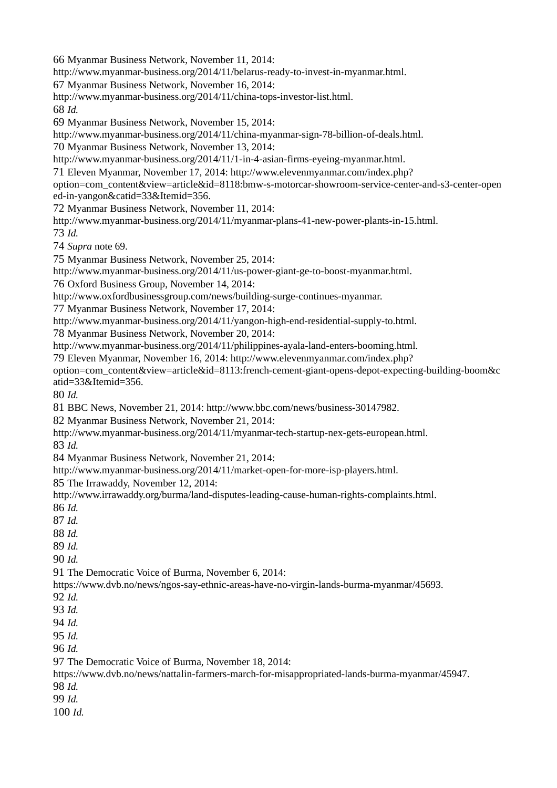Myanmar Business Network, November 11, 2014: http://www.myanmar-business.org/2014/11/belarus-ready-to-invest-in-myanmar.html. Myanmar Business Network, November 16, 2014: http://www.myanmar-business.org/2014/11/china-tops-investor-list.html. *Id.* Myanmar Business Network, November 15, 2014: http://www.myanmar-business.org/2014/11/china-myanmar-sign-78-billion-of-deals.html. Myanmar Business Network, November 13, 2014: http://www.myanmar-business.org/2014/11/1-in-4-asian-firms-eyeing-myanmar.html. Eleven Myanmar, November 17, 2014: http://www.elevenmyanmar.com/index.php? option=com\_content&view=article&id=8118:bmw-s-motorcar-showroom-service-center-and-s3-center-open ed-in-yangon&catid=33&Itemid=356. Myanmar Business Network, November 11, 2014: http://www.myanmar-business.org/2014/11/myanmar-plans-41-new-power-plants-in-15.html. *Id. Supra* note 69. Myanmar Business Network, November 25, 2014: http://www.myanmar-business.org/2014/11/us-power-giant-ge-to-boost-myanmar.html. Oxford Business Group, November 14, 2014: http://www.oxfordbusinessgroup.com/news/building-surge-continues-myanmar. Myanmar Business Network, November 17, 2014: http://www.myanmar-business.org/2014/11/yangon-high-end-residential-supply-to.html. Myanmar Business Network, November 20, 2014: http://www.myanmar-business.org/2014/11/philippines-ayala-land-enters-booming.html. Eleven Myanmar, November 16, 2014: http://www.elevenmyanmar.com/index.php? option=com\_content&view=article&id=8113:french-cement-giant-opens-depot-expecting-building-boom&c atid=33&Itemid=356. *Id.* BBC News, November 21, 2014: http://www.bbc.com/news/business-30147982. Myanmar Business Network, November 21, 2014: http://www.myanmar-business.org/2014/11/myanmar-tech-startup-nex-gets-european.html. *Id.* Myanmar Business Network, November 21, 2014: http://www.myanmar-business.org/2014/11/market-open-for-more-isp-players.html. The Irrawaddy, November 12, 2014: http://www.irrawaddy.org/burma/land-disputes-leading-cause-human-rights-complaints.html. *Id. Id. Id. Id. Id.* The Democratic Voice of Burma, November 6, 2014: https://www.dvb.no/news/ngos-say-ethnic-areas-have-no-virgin-lands-burma-myanmar/45693. *Id. Id. Id. Id. Id.* The Democratic Voice of Burma, November 18, 2014: https://www.dvb.no/news/nattalin-farmers-march-for-misappropriated-lands-burma-myanmar/45947. *Id. Id.*

*Id.*